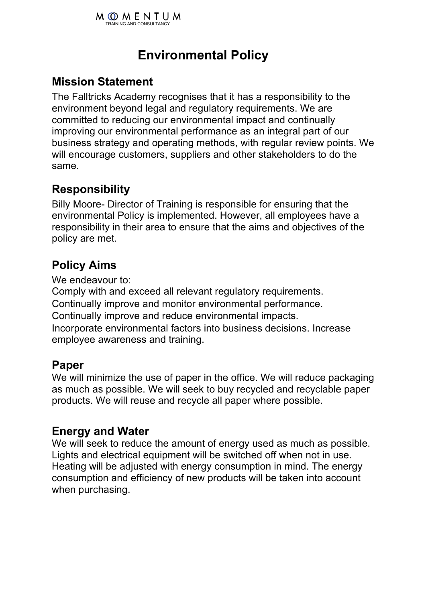

# **Environmental Policy**

## **Mission Statement**

The Falltricks Academy recognises that it has a responsibility to the environment beyond legal and regulatory requirements. We are committed to reducing our environmental impact and continually improving our environmental performance as an integral part of our business strategy and operating methods, with regular review points. We will encourage customers, suppliers and other stakeholders to do the same.

# **Responsibility**

Billy Moore- Director of Training is responsible for ensuring that the environmental Policy is implemented. However, all employees have a responsibility in their area to ensure that the aims and objectives of the policy are met.

# **Policy Aims**

We endeavour to:

Comply with and exceed all relevant regulatory requirements. Continually improve and monitor environmental performance. Continually improve and reduce environmental impacts. Incorporate environmental factors into business decisions. Increase employee awareness and training.

#### **Paper**

We will minimize the use of paper in the office. We will reduce packaging as much as possible. We will seek to buy recycled and recyclable paper products. We will reuse and recycle all paper where possible.

#### **Energy and Water**

We will seek to reduce the amount of energy used as much as possible. Lights and electrical equipment will be switched off when not in use. Heating will be adjusted with energy consumption in mind. The energy consumption and efficiency of new products will be taken into account when purchasing.